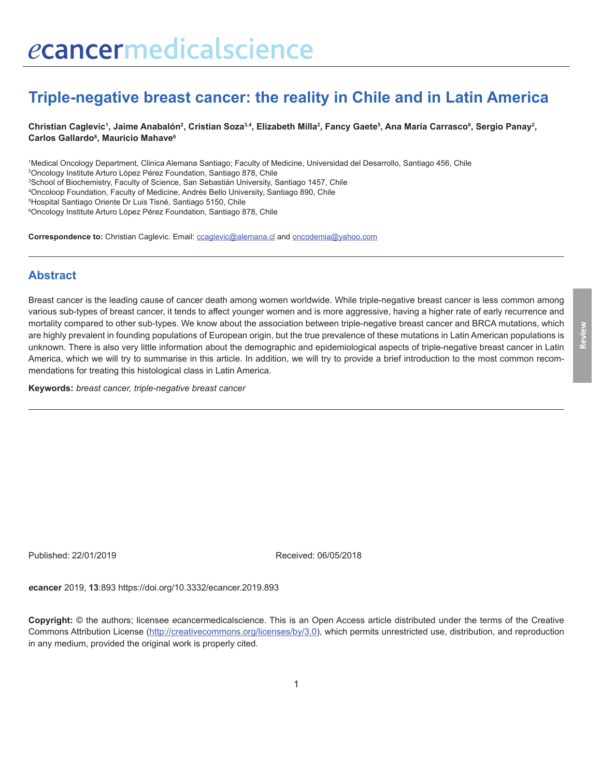# **Triple-negative breast cancer: the reality in Chile and in Latin America**

Christian Caglevic<sup>1</sup>, Jaime Anabalón<sup>2</sup>, Cristian Soza<sup>3,4</sup>, Elizabeth Milla<sup>2</sup>, Fancy Gaete<sup>s</sup>, Ana María Carrasco<sup>6</sup>, Sergio Panay<sup>2</sup>, **Carlos Gallardo6 , Mauricio Mahave6**

 Medical Oncology Department, Clinica Alemana Santiago; Faculty of Medicine, Universidad del Desarrollo, Santiago 456, Chile Oncology Institute Arturo López Pérez Foundation, Santiago 878, Chile School of Biochemistry, Faculty of Science, San Sebastián University, Santiago 1457, Chile Oncoloop Foundation, Faculty of Medicine, Andrés Bello University, Santiago 890, Chile Hospital Santiago Oriente Dr Luis Tisné, Santiago 5150, Chile Oncology Institute Arturo López Pérez Foundation, Santiago 878, Chile

**Correspondence to:** Christian Caglevic. Email: ccaglevic@alemana.cl and oncodemia@yahoo.com

## **Abstract**

Breast cancer is the leading cause of cancer death among women worldwide. While triple-negative breast cancer is less common among various sub-types of breast cancer, it tends to affect younger women and is more aggressive, having a higher rate of early recurrence and mortality compared to other sub-types. We know about the association between triple-negative breast cancer and BRCA mutations, which are highly prevalent in founding populations of European origin, but the true prevalence of these mutations in Latin American populations is unknown. There is also very little information about the demographic and epidemiological aspects of triple-negative breast cancer in Latin America, which we will try to summarise in this article. In addition, we will try to provide a brief introduction to the most common recommendations for treating this histological class in Latin America.

**Keywords:** *breast cancer, triple-negative breast cancer*

Published: 22/01/2019 Received: 06/05/2018

*e***cancer** 2019, **13**:893 [https://doi.org/10.3332/ecancer.2019.8](https://doi.org/10.3332/ecancer.2019.893)93

**Copyright:** © the authors; licensee *e*cancermedicalscience. This is an Open Access article distributed under the terms of the Creative Commons Attribution License [\(http://creativecommons.org/licenses/by/3.0\)](http://creativecommons.org/licenses/by/3.0), which permits unrestricted use, distribution, and reproduction in any medium, provided the original work is properly cited.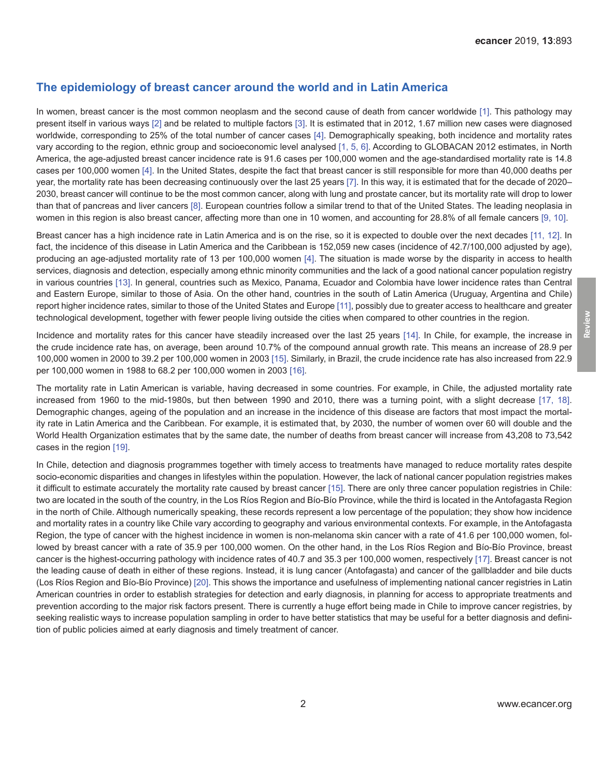#### **The epidemiology of breast cancer around the world and in Latin America**

In women, breast cancer is the most common neoplasm and the second cause of death from cancer worldwide [\[1\].](#page-5-0) This pathology may present itself in various ways [\[2\]](#page-5-0) and be related to multiple factors [\[3\].](#page-5-0) It is estimated that in 2012, 1.67 million new cases were diagnosed worldwide, corresponding to 25% of the total number of cancer cases [\[4\].](#page-5-0) Demographically speaking, both incidence and mortality rates vary according to the region, ethnic group and socioeconomic level analysed [\[1,](#page-5-0) [5,](#page-5-0) [6\]](#page-5-0). According to GLOBACAN 2012 estimates, in North America, the age-adjusted breast cancer incidence rate is 91.6 cases per 100,000 women and the age-standardised mortality rate is 14.8 cases per 100,000 women [\[4\].](#page-5-0) In the United States, despite the fact that breast cancer is still responsible for more than 40,000 deaths per year, the mortality rate has been decreasing continuously over the last 25 years [\[7\]](#page-5-0). In this way, it is estimated that for the decade of 2020– 2030, breast cancer will continue to be the most common cancer, along with lung and prostate cancer, but its mortality rate will drop to lower than that of pancreas and liver cancers [\[8\]](#page-5-0). European countries follow a similar trend to that of the United States. The leading neoplasia in women in this region is also breast cancer, affecting more than one in 10 women, and accounting for 28.8% of all female cancers [\[9, 10\].](#page-5-0)

Breast cancer has a high incidence rate in Latin America and is on the rise, so it is expected to double over the next decades [\[11,](#page-5-0) [12\]](#page-6-0). In fact, the incidence of this disease in Latin America and the Caribbean is 152,059 new cases (incidence of 42.7/100,000 adjusted by age), producing an age-adjusted mortality rate of 13 per 100,000 women [\[4\]](#page-5-0). The situation is made worse by the disparity in access to health services, diagnosis and detection, especially among ethnic minority communities and the lack of a good national cancer population registry in various countries [\[13\].](#page-6-0) In general, countries such as Mexico, Panama, Ecuador and Colombia have lower incidence rates than Central and Eastern Europe, similar to those of Asia. On the other hand, countries in the south of Latin America (Uruguay, Argentina and Chile) report higher incidence rates, similar to those of the United States and Europe [\[11\],](#page-5-0) possibly due to greater access to healthcare and greater technological development, together with fewer people living outside the cities when compared to other countries in the region.

Incidence and mortality rates for this cancer have steadily increased over the last 25 years [\[14\]](#page-6-0). In Chile, for example, the increase in the crude incidence rate has, on average, been around 10.7% of the compound annual growth rate. This means an increase of 28.9 per 100,000 women in 2000 to 39.2 per 100,000 women in 2003 [\[15\].](#page-6-0) Similarly, in Brazil, the crude incidence rate has also increased from 22.9 per 100,000 women in 1988 to 68.2 per 100,000 women in 2003 [\[16\]](#page-6-0).

The mortality rate in Latin American is variable, having decreased in some countries. For example, in Chile, the adjusted mortality rate increased from 1960 to the mid-1980s, but then between 1990 and 2010, there was a turning point, with a slight decrease [\[17,](#page-6-0) [18\]](#page-6-0). Demographic changes, ageing of the population and an increase in the incidence of this disease are factors that most impact the mortality rate in Latin America and the Caribbean. For example, it is estimated that, by 2030, the number of women over 60 will double and the World Health Organization estimates that by the same date, the number of deaths from breast cancer will increase from 43,208 to 73,542 cases in the region [\[19\]](#page-6-0).

In Chile, detection and diagnosis programmes together with timely access to treatments have managed to reduce mortality rates despite socio-economic disparities and changes in lifestyles within the population. However, the lack of national cancer population registries makes it difficult to estimate accurately the mortality rate caused by breast cancer [\[15\].](#page-6-0) There are only three cancer population registries in Chile: two are located in the south of the country, in the Los Ríos Region and Bío-Bío Province, while the third is located in the Antofagasta Region in the north of Chile. Although numerically speaking, these records represent a low percentage of the population; they show how incidence and mortality rates in a country like Chile vary according to geography and various environmental contexts. For example, in the Antofagasta Region, the type of cancer with the highest incidence in women is non-melanoma skin cancer with a rate of 41.6 per 100,000 women, followed by breast cancer with a rate of 35.9 per 100,000 women. On the other hand, in the Los Ríos Region and Bío-Bío Province, breast cancer is the highest-occurring pathology with incidence rates of 40.7 and 35.3 per 100,000 women, respectively [\[17\]](#page-6-0). Breast cancer is not the leading cause of death in either of these regions. Instead, it is lung cancer (Antofagasta) and cancer of the gallbladder and bile ducts (Los Ríos Region and Bío-Bío Province) [\[20\]](#page-6-0). This shows the importance and usefulness of implementing national cancer registries in Latin American countries in order to establish strategies for detection and early diagnosis, in planning for access to appropriate treatments and prevention according to the major risk factors present. There is currently a huge effort being made in Chile to improve cancer registries, by seeking realistic ways to increase population sampling in order to have better statistics that may be useful for a better diagnosis and definition of public policies aimed at early diagnosis and timely treatment of cancer.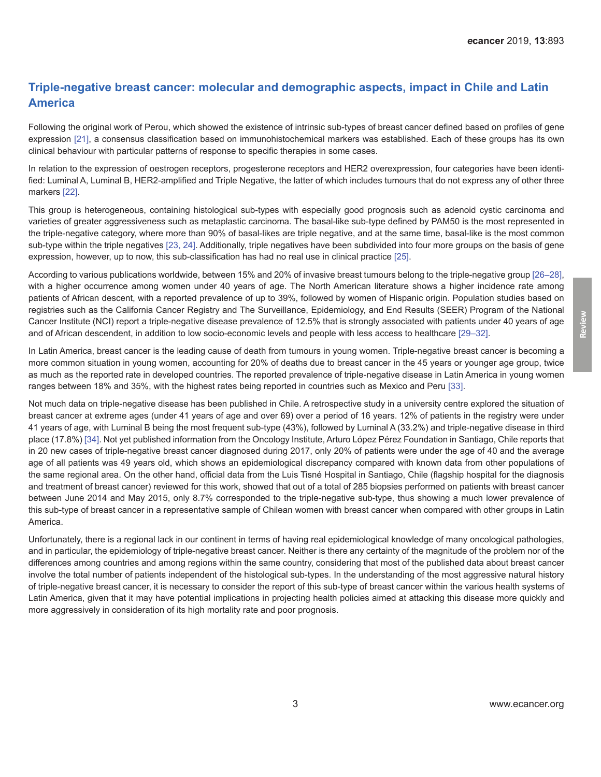## **Triple-negative breast cancer: molecular and demographic aspects, impact in Chile and Latin America**

Following the original work of Perou, which showed the existence of intrinsic sub-types of breast cancer defined based on profiles of gene expression [\[21\],](#page-6-0) a consensus classification based on immunohistochemical markers was established. Each of these groups has its own clinical behaviour with particular patterns of response to specific therapies in some cases.

In relation to the expression of oestrogen receptors, progesterone receptors and HER2 overexpression, four categories have been identified: Luminal A, Luminal B, HER2-amplified and Triple Negative, the latter of which includes tumours that do not express any of other three markers [\[22\]](#page-6-0).

This group is heterogeneous, containing histological sub-types with especially good prognosis such as adenoid cystic carcinoma and varieties of greater aggressiveness such as metaplastic carcinoma. The basal-like sub-type defined by PAM50 is the most represented in the triple-negative category, where more than 90% of basal-likes are triple negative, and at the same time, basal-like is the most common sub-type within the triple negatives [\[23,](#page-6-0) [24\]](#page-6-0). Additionally, triple negatives have been subdivided into four more groups on the basis of gene expression, however, up to now, this sub-classification has had no real use in clinical practice [\[25\].](#page-6-0)

According to various publications worldwide, between 15% and 20% of invasive breast tumours belong to the triple-negative group [\[26–28\]](#page-6-0), with a higher occurrence among women under 40 years of age. The North American literature shows a higher incidence rate among patients of African descent, with a reported prevalence of up to 39%, followed by women of Hispanic origin. Population studies based on registries such as the California Cancer Registry and The Surveillance, Epidemiology, and End Results (SEER) Program of the National Cancer Institute (NCI) report a triple-negative disease prevalence of 12.5% that is strongly associated with patients under 40 years of age and of African descendent, in addition to low socio-economic levels and people with less access to healthcare [\[29–](#page-6-0)[32\]](#page-7-0).

In Latin America, breast cancer is the leading cause of death from tumours in young women. Triple-negative breast cancer is becoming a more common situation in young women, accounting for 20% of deaths due to breast cancer in the 45 years or younger age group, twice as much as the reported rate in developed countries. The reported prevalence of triple-negative disease in Latin America in young women ranges between 18% and 35%, with the highest rates being reported in countries such as Mexico and Peru [\[33\].](#page-7-0)

Not much data on triple-negative disease has been published in Chile. A retrospective study in a university centre explored the situation of breast cancer at extreme ages (under 41 years of age and over 69) over a period of 16 years. 12% of patients in the registry were under 41 years of age, with Luminal B being the most frequent sub-type (43%), followed by Luminal A (33.2%) and triple-negative disease in third place (17.8%) [\[34\]](#page-7-0). Not yet published information from the Oncology Institute, Arturo López Pérez Foundation in Santiago, Chile reports that in 20 new cases of triple-negative breast cancer diagnosed during 2017, only 20% of patients were under the age of 40 and the average age of all patients was 49 years old, which shows an epidemiological discrepancy compared with known data from other populations of the same regional area. On the other hand, official data from the Luis Tisné Hospital in Santiago, Chile (flagship hospital for the diagnosis and treatment of breast cancer) reviewed for this work, showed that out of a total of 285 biopsies performed on patients with breast cancer between June 2014 and May 2015, only 8.7% corresponded to the triple-negative sub-type, thus showing a much lower prevalence of this sub-type of breast cancer in a representative sample of Chilean women with breast cancer when compared with other groups in Latin America.

Unfortunately, there is a regional lack in our continent in terms of having real epidemiological knowledge of many oncological pathologies, and in particular, the epidemiology of triple-negative breast cancer. Neither is there any certainty of the magnitude of the problem nor of the differences among countries and among regions within the same country, considering that most of the published data about breast cancer involve the total number of patients independent of the histological sub-types. In the understanding of the most aggressive natural history of triple-negative breast cancer, it is necessary to consider the report of this sub-type of breast cancer within the various health systems of Latin America, given that it may have potential implications in projecting health policies aimed at attacking this disease more quickly and more aggressively in consideration of its high mortality rate and poor prognosis.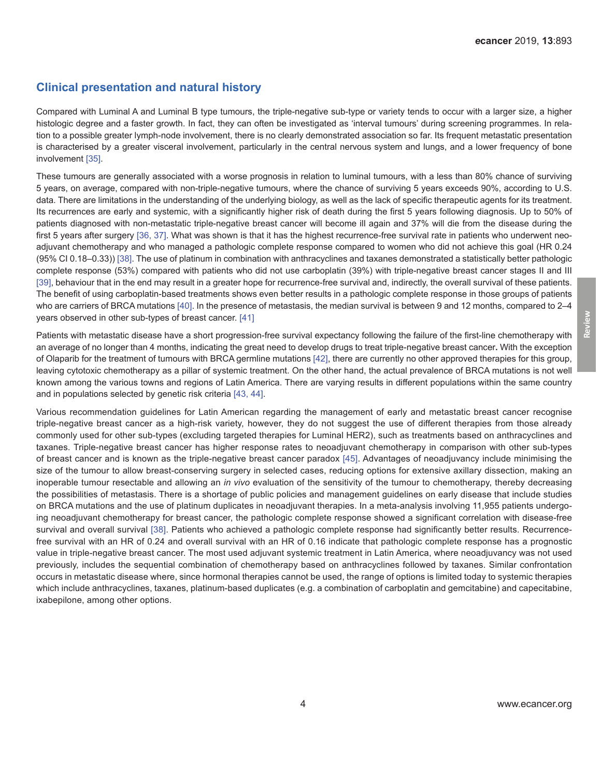#### **Clinical presentation and natural history**

Compared with Luminal A and Luminal B type tumours, the triple-negative sub-type or variety tends to occur with a larger size, a higher histologic degree and a faster growth. In fact, they can often be investigated as 'interval tumours' during screening programmes. In relation to a possible greater lymph-node involvement, there is no clearly demonstrated association so far. Its frequent metastatic presentation is characterised by a greater visceral involvement, particularly in the central nervous system and lungs, and a lower frequency of bone involvement [\[35\].](#page-7-0)

These tumours are generally associated with a worse prognosis in relation to luminal tumours, with a less than 80% chance of surviving 5 years, on average, compared with non-triple-negative tumours, where the chance of surviving 5 years exceeds 90%, according to U.S. data. There are limitations in the understanding of the underlying biology, as well as the lack of specific therapeutic agents for its treatment. Its recurrences are early and systemic, with a significantly higher risk of death during the first 5 years following diagnosis. Up to 50% of patients diagnosed with non-metastatic triple-negative breast cancer will become ill again and 37% will die from the disease during the first 5 years after surgery [\[36,](#page-7-0) [37\]](#page-7-0). What was shown is that it has the highest recurrence-free survival rate in patients who underwent neoadjuvant chemotherapy and who managed a pathologic complete response compared to women who did not achieve this goal (HR 0.24 (95% CI 0.18–0.33)) [\[38\]](#page-7-0). The use of platinum in combination with anthracyclines and taxanes demonstrated a statistically better pathologic complete response (53%) compared with patients who did not use carboplatin (39%) with triple-negative breast cancer stages II and III [\[39\]](#page-7-0), behaviour that in the end may result in a greater hope for recurrence-free survival and, indirectly, the overall survival of these patients. The benefit of using carboplatin-based treatments shows even better results in a pathologic complete response in those groups of patients who are carriers of BRCA mutations [\[40\].](#page-7-0) In the presence of metastasis, the median survival is between 9 and 12 months, compared to 2–4 years observed in other sub-types of breast cancer. [\[41\]](#page-7-0)

Patients with metastatic disease have a short progression-free survival expectancy following the failure of the first-line chemotherapy with an average of no longer than 4 months, indicating the great need to develop drugs to treat triple-negative breast cancer**.** With the exception of Olaparib for the treatment of tumours with BRCA germline mutations [\[42\]](#page-7-0), there are currently no other approved therapies for this group, leaving cytotoxic chemotherapy as a pillar of systemic treatment. On the other hand, the actual prevalence of BRCA mutations is not well known among the various towns and regions of Latin America. There are varying results in different populations within the same country and in populations selected by genetic risk criteria [\[43,](#page-7-0) [44\]](#page-7-0).

Various recommendation guidelines for Latin American regarding the management of early and metastatic breast cancer recognise triple-negative breast cancer as a high-risk variety, however, they do not suggest the use of different therapies from those already commonly used for other sub-types (excluding targeted therapies for Luminal HER2), such as treatments based on anthracyclines and taxanes. Triple-negative breast cancer has higher response rates to neoadjuvant chemotherapy in comparison with other sub-types of breast cancer and is known as the triple-negative breast cancer paradox [\[45\].](#page-7-0) Advantages of neoadjuvancy include minimising the size of the tumour to allow breast-conserving surgery in selected cases, reducing options for extensive axillary dissection, making an inoperable tumour resectable and allowing an *in vivo* evaluation of the sensitivity of the tumour to chemotherapy, thereby decreasing the possibilities of metastasis. There is a shortage of public policies and management guidelines on early disease that include studies on BRCA mutations and the use of platinum duplicates in neoadjuvant therapies. In a meta-analysis involving 11,955 patients undergoing neoadjuvant chemotherapy for breast cancer, the pathologic complete response showed a significant correlation with disease-free survival and overall survival [\[38\]](#page-7-0). Patients who achieved a pathologic complete response had significantly better results. Recurrencefree survival with an HR of 0.24 and overall survival with an HR of 0.16 indicate that pathologic complete response has a prognostic value in triple-negative breast cancer. The most used adjuvant systemic treatment in Latin America, where neoadjuvancy was not used previously, includes the sequential combination of chemotherapy based on anthracyclines followed by taxanes. Similar confrontation occurs in metastatic disease where, since hormonal therapies cannot be used, the range of options is limited today to systemic therapies which include anthracyclines, taxanes, platinum-based duplicates (e.g. a combination of carboplatin and gemcitabine) and capecitabine, ixabepilone, among other options.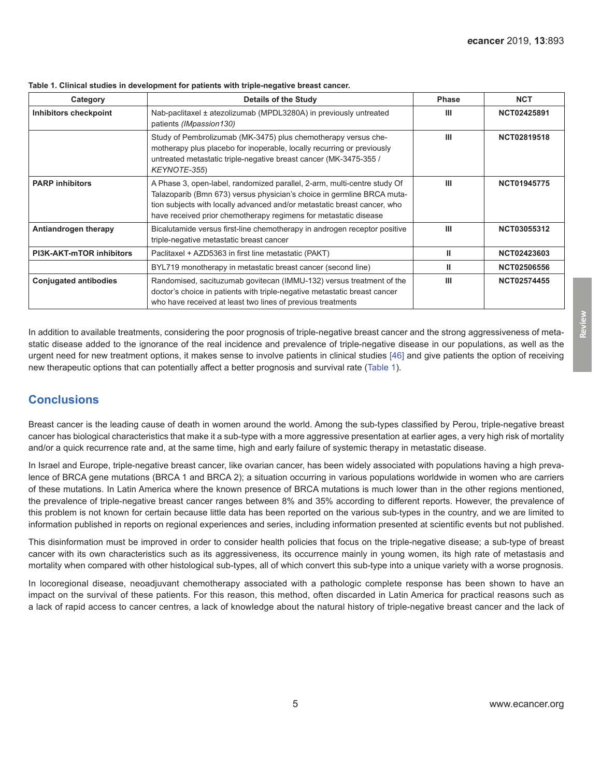| Category                        | Details of the Study                                                                                                                                                                                                                                                                               | <b>Phase</b> | <b>NCT</b>         |
|---------------------------------|----------------------------------------------------------------------------------------------------------------------------------------------------------------------------------------------------------------------------------------------------------------------------------------------------|--------------|--------------------|
| Inhibitors checkpoint           | Nab-paclitaxel ± atezolizumab (MPDL3280A) in previously untreated<br>patients (IMpassion130)                                                                                                                                                                                                       | Ш            | NCT02425891        |
|                                 | Study of Pembrolizumab (MK-3475) plus chemotherapy versus che-<br>motherapy plus placebo for inoperable, locally recurring or previously<br>untreated metastatic triple-negative breast cancer (MK-3475-355 /<br>KEYNOTE-355)                                                                      | Ш            | NCT02819518        |
| <b>PARP inhibitors</b>          | A Phase 3, open-label, randomized parallel, 2-arm, multi-centre study Of<br>Talazoparib (Bmn 673) versus physician's choice in germline BRCA muta-<br>tion subjects with locally advanced and/or metastatic breast cancer, who<br>have received prior chemotherapy regimens for metastatic disease | Ш            | <b>NCT01945775</b> |
| Antiandrogen therapy            | Bicalutamide versus first-line chemotherapy in androgen receptor positive<br>triple-negative metastatic breast cancer                                                                                                                                                                              | Ш            | NCT03055312        |
| <b>PI3K-AKT-mTOR inhibitors</b> | Paclitaxel + AZD5363 in first line metastatic (PAKT)                                                                                                                                                                                                                                               | Ш            | NCT02423603        |
|                                 | BYL719 monotherapy in metastatic breast cancer (second line)                                                                                                                                                                                                                                       | Ш            | <b>NCT02506556</b> |
| <b>Conjugated antibodies</b>    | Randomised, sacituzumab govitecan (IMMU-132) versus treatment of the<br>doctor's choice in patients with triple-negative metastatic breast cancer<br>who have received at least two lines of previous treatments                                                                                   | Ш            | <b>NCT02574455</b> |

**Table 1. Clinical studies in development for patients with triple-negative breast cancer.**

In addition to available treatments, considering the poor prognosis of triple-negative breast cancer and the strong aggressiveness of metastatic disease added to the ignorance of the real incidence and prevalence of triple-negative disease in our populations, as well as the urgent need for new treatment options, it makes sense to involve patients in clinical studies [\[46\]](#page-7-0) and give patients the option of receiving new therapeutic options that can potentially affect a better prognosis and survival rate (Table 1).

# **Conclusions**

Breast cancer is the leading cause of death in women around the world. Among the sub-types classified by Perou, triple-negative breast cancer has biological characteristics that make it a sub-type with a more aggressive presentation at earlier ages, a very high risk of mortality and/or a quick recurrence rate and, at the same time, high and early failure of systemic therapy in metastatic disease.

In Israel and Europe, triple-negative breast cancer, like ovarian cancer, has been widely associated with populations having a high prevalence of BRCA gene mutations (BRCA 1 and BRCA 2); a situation occurring in various populations worldwide in women who are carriers of these mutations. In Latin America where the known presence of BRCA mutations is much lower than in the other regions mentioned, the prevalence of triple-negative breast cancer ranges between 8% and 35% according to different reports. However, the prevalence of this problem is not known for certain because little data has been reported on the various sub-types in the country, and we are limited to information published in reports on regional experiences and series, including information presented at scientific events but not published.

This disinformation must be improved in order to consider health policies that focus on the triple-negative disease; a sub-type of breast cancer with its own characteristics such as its aggressiveness, its occurrence mainly in young women, its high rate of metastasis and mortality when compared with other histological sub-types, all of which convert this sub-type into a unique variety with a worse prognosis.

In locoregional disease, neoadjuvant chemotherapy associated with a pathologic complete response has been shown to have an impact on the survival of these patients. For this reason, this method, often discarded in Latin America for practical reasons such as a lack of rapid access to cancer centres, a lack of knowledge about the natural history of triple-negative breast cancer and the lack of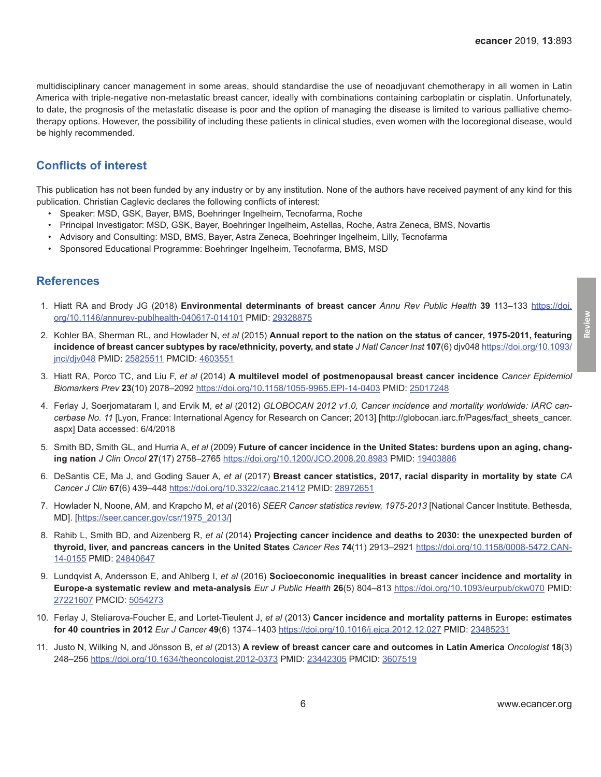<span id="page-5-0"></span>multidisciplinary cancer management in some areas, should standardise the use of neoadjuvant chemotherapy in all women in Latin America with triple-negative non-metastatic breast cancer, ideally with combinations containing carboplatin or cisplatin. Unfortunately, to date, the prognosis of the metastatic disease is poor and the option of managing the disease is limited to various palliative chemotherapy options. However, the possibility of including these patients in clinical studies, even women with the locoregional disease, would be highly recommended.

## **Conflicts of interest**

This publication has not been funded by any industry or by any institution. None of the authors have received payment of any kind for this publication. Christian Caglevic declares the following conflicts of interest:

- • Speaker: MSD, GSK, Bayer, BMS, Boehringer Ingelheim, Tecnofarma, Roche
- • Principal Investigator: MSD, GSK, Bayer, Boehringer Ingelheim, Astellas, Roche, Astra Zeneca, BMS, Novartis
- • Advisory and Consulting: MSD, BMS, Bayer, Astra Zeneca, Boehringer Ingelheim, Lilly, Tecnofarma
- Sponsored Educational Programme: Boehringer Ingelheim, Tecnofarma, BMS, MSD

#### **References**

- 1. Hiatt RA and Brody JG (2018) **Environmental determinants of breast cancer** *Annu Rev Public Health* **39** 113–133 [https://doi.](https://doi.org/10.1146/annurev-publhealth-040617-014101) [org/10.1146/annurev-publhealth-040617-014101](https://doi.org/10.1146/annurev-publhealth-040617-014101) PMID: [29328875](http://www.ncbi.nlm.nih.gov/pubmed/29328875)
- 2. Kohler BA, [Sherman RL](https://www.ncbi.nlm.nih.gov/pubmed/?term=Sherman RL%5BAuthor%5D&cauthor=true&cauthor_uid=25825511), and [Howlader N](https://www.ncbi.nlm.nih.gov/pubmed/?term=Howlader N%5BAuthor%5D&cauthor=true&cauthor_uid=25825511), *et al* (2015) **Annual report to the nation on the status of cancer, 1975-2011, featuring incidence of breast cancer subtypes by race/ethnicity, poverty, and state** *J Natl Cancer Inst* **107**(6) djv048 [https://doi.org/10.1093/](https://doi.org/10.1093/jnci/djv048) [jnci/djv048](https://doi.org/10.1093/jnci/djv048) PMID: [25825511](http://www.ncbi.nlm.nih.gov/pubmed/25825511) PMCID: [4603551](http://www.ncbi.nlm.nih.gov/pmc/articles/PMC4603551)
- 3. Hiatt RA, [Porco TC,](https://www.ncbi.nlm.nih.gov/pubmed/?term=Porco TC%5BAuthor%5D&cauthor=true&cauthor_uid=25017248) and [Liu F](https://www.ncbi.nlm.nih.gov/pubmed/?term=Liu F%5BAuthor%5D&cauthor=true&cauthor_uid=25017248), *et al* (2014) **A multilevel model of postmenopausal breast cancer incidence** *Cancer Epidemiol Biomarkers Prev* **23**(10) 2078–2092<https://doi.org/10.1158/1055-9965.EPI-14-0403>PMID: [25017248](http://www.ncbi.nlm.nih.gov/pubmed/25017248)
- 4. Ferlay J, Soerjomataram I, and Ervik M, *et al* (2012) *GLOBOCAN 2012 v1.0, Cancer incidence and mortality worldwide: IARC cancerbase No. 11* [Lyon, France: International Agency for Research on Cancer; 2013] [http://globocan.iarc.fr/Pages/fact\_sheets\_cancer. aspx] Data accessed: 6/4/2018
- 5. Smith BD, Smith GL, and [Hurria A](https://www.ncbi.nlm.nih.gov/pubmed/?term=Hurria A%5BAuthor%5D&cauthor=true&cauthor_uid=19403886), *et al* (2009) **Future of cancer incidence in the United States: burdens upon an aging, changing nation** *J Clin Oncol* **27**(17) 2758–2765 <https://doi.org/10.1200/JCO.2008.20.8983> PMID: [19403886](http://www.ncbi.nlm.nih.gov/pubmed/19403886)
- 6. DeSantis CE, Ma J, and Goding Sauer A, *et al* (2017) **Breast cancer statistics, 2017, racial disparity in mortality by state** *CA Cancer J Clin* **67**(6) 439–448 <https://doi.org/10.3322/caac.21412> PMID: [28972651](http://www.ncbi.nlm.nih.gov/pubmed/28972651)
- 7. Howlader N, Noone, AM, and Krapcho M, *et al* (2016) *SEER Cancer statistics review, 1975-2013* [National Cancer Institute. Bethesda, MD]. [https://seer.cancer.gov/csr/1975\_2013/]
- 8. Rahib L, [Smith BD,](https://www.ncbi.nlm.nih.gov/pubmed/?term=Smith BD%5BAuthor%5D&cauthor=true&cauthor_uid=24840647) and [Aizenberg R,](https://www.ncbi.nlm.nih.gov/pubmed/?term=Aizenberg R%5BAuthor%5D&cauthor=true&cauthor_uid=24840647) *et al* (2014) **Projecting cancer incidence and deaths to 2030: the unexpected burden of thyroid, liver, and pancreas cancers in the United States** *Cancer Res* **74**(11) 2913–2921 [https://doi.org/10.1158/0008-5472.CAN-](https://doi.org/10.1158/0008-5472.CAN-14-0155)[14-0155](https://doi.org/10.1158/0008-5472.CAN-14-0155) PMID: [24840647](http://www.ncbi.nlm.nih.gov/pubmed/24840647)
- 9. Lundqvist A, [Andersson E](https://www.ncbi.nlm.nih.gov/pubmed/?term=Andersson E%5BAuthor%5D&cauthor=true&cauthor_uid=27221607), and [Ahlberg I](https://www.ncbi.nlm.nih.gov/pubmed/?term=Ahlberg I%5BAuthor%5D&cauthor=true&cauthor_uid=27221607), *et al* (2016) **Socioeconomic inequalities in breast cancer incidence and mortality in Europe-a systematic review and meta-analysis** *Eur J Public Health* **26**(5) 804–813 <https://doi.org/10.1093/eurpub/ckw070> PMID: [27221607](http://www.ncbi.nlm.nih.gov/pubmed/27221607) PMCID: [5054273](http://www.ncbi.nlm.nih.gov/pmc/articles/PMC5054273)
- 10. Ferlay J, Steliarova-Foucher E, and Lortet-Tieulent J, *et al* (2013) **Cancer incidence and mortality patterns in Europe: estimates for 40 countries in 2012** *Eur J Cancer* **49**(6) 1374–1403<https://doi.org/10.1016/j.ejca.2012.12.027>PMID: [23485231](http://www.ncbi.nlm.nih.gov/pubmed/23485231)
- 11. Justo N, Wilking N, and Jönsson B, *et al* (2013) **A review of breast cancer care and outcomes in Latin America** *Oncologist* **18**(3) 248–256 <https://doi.org/10.1634/theoncologist.2012-0373> PMID: [23442305](http://www.ncbi.nlm.nih.gov/pubmed/23442305) PMCID: [3607519](http://www.ncbi.nlm.nih.gov/pmc/articles/PMC3607519)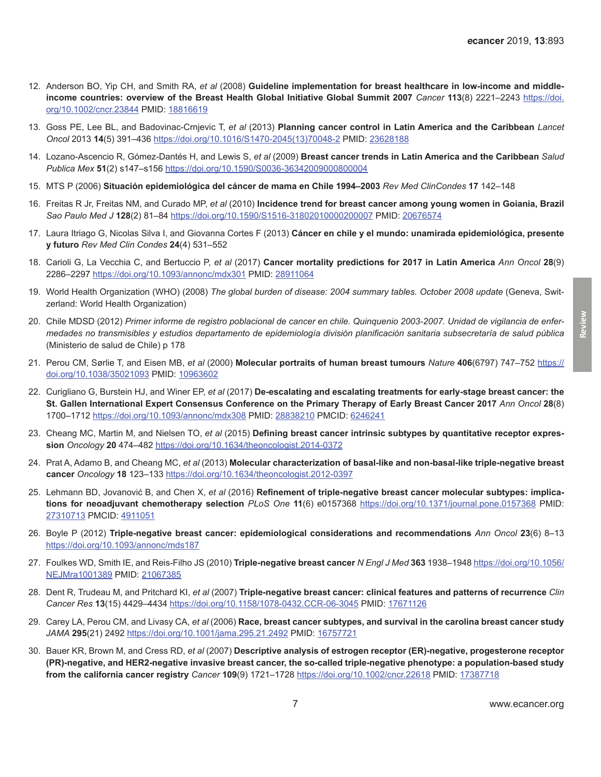**Review**

- <span id="page-6-0"></span>12. Anderson BO, [Yip CH,](https://www.ncbi.nlm.nih.gov/pubmed/?term=Yip CH%5BAuthor%5D&cauthor=true&cauthor_uid=18816619) and [Smith RA,](https://www.ncbi.nlm.nih.gov/pubmed/?term=Smith RA%5BAuthor%5D&cauthor=true&cauthor_uid=18816619) *et al* (2008) **Guideline implementation for breast healthcare in low-income and middleincome countries: overview of the Breast Health Global Initiative Global Summit 2007** *Cancer* **113**(8) 2221–2243 [https://doi.](https://doi.org/10.1002/cncr.23844) [org/10.1002/cncr.23844](https://doi.org/10.1002/cncr.23844) PMID: [18816619](http://www.ncbi.nlm.nih.gov/pubmed/18816619)
- 13. Goss PE, Lee BL, and Badovinac-Crnjevic T, *et al* (2013) **Planning cancer control in Latin America and the Caribbean** *Lancet Oncol* 2013 **14**(5) 391–436 [https://doi.org/10.1016/S1470-2045\(13\)70048-2](https://doi.org/10.1016/S1470-2045(13)70048-2) PMID: [23628188](http://www.ncbi.nlm.nih.gov/pubmed/23628188)
- 14. Lozano-Ascencio R, Gómez-Dantés H, and Lewis S, *et al* (2009) **Breast cancer trends in Latin America and the Caribbean** *Salud Publica Mex* **51**(2) s147–s156 <https://doi.org/10.1590/S0036-36342009000800004>
- 15. MTS P (2006) **Situación epidemiológica del cáncer de mama en Chile 1994–2003** *Rev Med ClinCondes* **17** 142–148
- 16. Freitas R Jr, [Freitas NM](https://www.ncbi.nlm.nih.gov/pubmed/?term=Freitas NM%5BAuthor%5D&cauthor=true&cauthor_uid=20676574), and [Curado MP](https://www.ncbi.nlm.nih.gov/pubmed/?term=Curado MP%5BAuthor%5D&cauthor=true&cauthor_uid=20676574), *et al* (2010) **Incidence trend for breast cancer among young women in Goiania, Brazil** *Sao Paulo Med J* **128**(2) 81–84<https://doi.org/10.1590/S1516-31802010000200007> PMID: [20676574](http://www.ncbi.nlm.nih.gov/pubmed/20676574)
- 17. Laura Itriago G, Nicolas Silva I, and Giovanna Cortes F (2013) **Cáncer en chile y el mundo: unamirada epidemiológica, presente y futuro** *Rev Med Clin Condes* **24**(4) 531–552
- 18. Carioli G, La Vecchia C, and Bertuccio P, *et al* (2017) **Cancer mortality predictions for 2017 in Latin America** *Ann Oncol* **28**(9) 2286–2297 <https://doi.org/10.1093/annonc/mdx301>PMID: [28911064](http://www.ncbi.nlm.nih.gov/pubmed/28911064)
- 19. World Health Organization (WHO) (2008) *The global burden of disease: 2004 summary tables. October 2008 update* (Geneva, Switzerland: World Health Organization)
- 20. Chile MDSD (2012) *Primer informe de registro poblacional de cancer en chile. Quinquenio 2003-2007. Unidad de vigilancia de enfermedades no transmisibles y estudios departamento de epidemiología división planificación sanitaria subsecretaría de salud pública* (Ministerio de salud de Chile) p 178
- 21. Perou CM, Sørlie T, and Eisen MB, *et al* (2000) **Molecular portraits of human breast tumours** *Nature* **406**(6797) 747–752 [https://](https://doi.org/10.1038/35021093) [doi.org/10.1038/35021093](https://doi.org/10.1038/35021093) PMID: [10963602](http://www.ncbi.nlm.nih.gov/pubmed/10963602)
- 22. Curigliano G, Burstein HJ, and Winer EP, *et al* (2017) **De-escalating and escalating treatments for early-stage breast cancer: the St. Gallen International Expert Consensus Conference on the Primary Therapy of Early Breast Cancer 2017** *Ann Oncol* **28**(8) 1700–1712 <https://doi.org/10.1093/annonc/mdx308>PMID: [28838210](http://www.ncbi.nlm.nih.gov/pubmed/28838210) PMCID: [6246241](http://www.ncbi.nlm.nih.gov/pmc/articles/PMC6246241)
- 23. Cheang MC, Martin M, and Nielsen TO, *et al* (2015) **Defining breast cancer intrinsic subtypes by quantitative receptor expression** *Oncology* **20** 474–482 <https://doi.org/10.1634/theoncologist.2014-0372>
- 24. Prat A, Adamo B, and Cheang MC, *et al* (2013) **Molecular characterization of basal-like and non-basal-like triple-negative breast cancer** *Oncology* **18** 123–133<https://doi.org/10.1634/theoncologist.2012-0397>
- 25. Lehmann BD, Jovanović B, and Chen X, et al (2016) **Refinement of triple-negative breast cancer molecular subtypes: implications for neoadjuvant chemotherapy selection** *PLoS One* **11**(6) e0157368 <https://doi.org/10.1371/journal.pone.0157368> PMID: [27310713](http://www.ncbi.nlm.nih.gov/pubmed/27310713) PMCID: [4911051](http://www.ncbi.nlm.nih.gov/pmc/articles/PMC4911051)
- 26. Boyle P (2012) **Triple-negative breast cancer: epidemiological considerations and recommendations** *Ann Oncol* **23**(6) 8–13 <https://doi.org/10.1093/annonc/mds187>
- 27. Foulkes WD, Smith IE, and Reis-Filho JS (2010) **Triple-negative breast cancer** *N Engl J Med* **363** 1938–1948 [https://doi.org/10.1056/](https://doi.org/10.1056/NEJMra1001389) [NEJMra1001389](https://doi.org/10.1056/NEJMra1001389) PMID: [21067385](http://www.ncbi.nlm.nih.gov/pubmed/21067385)
- 28. Dent R, Trudeau M, and Pritchard KI, *et al* (2007) **Triple-negative breast cancer: clinical features and patterns of recurrence** *Clin Cancer Res* **13**(15) 4429–4434<https://doi.org/10.1158/1078-0432.CCR-06-3045>PMID: [17671126](http://www.ncbi.nlm.nih.gov/pubmed/17671126)
- 29. Carey LA, Perou CM, and Livasy CA, *et al* (2006) **Race, breast cancer subtypes, and survival in the carolina breast cancer study** *JAMA* **295**(21) 2492 <https://doi.org/10.1001/jama.295.21.2492>PMID: [16757721](http://www.ncbi.nlm.nih.gov/pubmed/16757721)
- 30. Bauer KR, Brown M, and Cress RD, *et al* (2007) **Descriptive analysis of estrogen receptor (ER)-negative, progesterone receptor (PR)-negative, and HER2-negative invasive breast cancer, the so-called triple-negative phenotype: a population-based study from the california cancer registry** *Cancer* **109**(9) 1721–1728 <https://doi.org/10.1002/cncr.22618>PMID: [17387718](http://www.ncbi.nlm.nih.gov/pubmed/17387718)